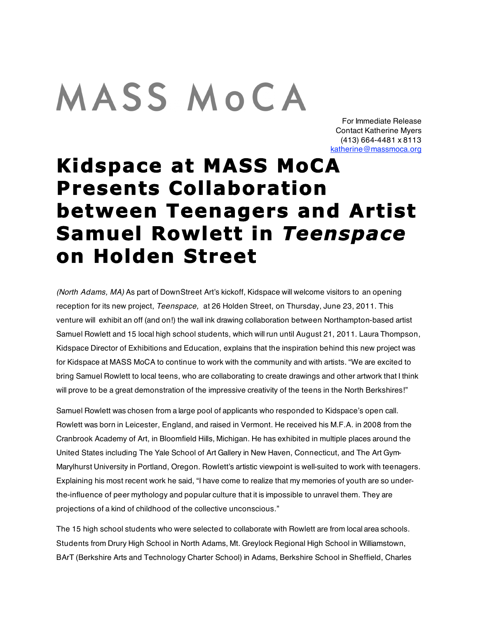## **MASS MOCA**

For Immediate Release Contact Katherine Myers (413) 664-4481 x 8113 katherine@massmoca.org

## **Kidspace at MASS MoCA Presents Collaboration between Teenagers and Artist Samuel Rowlett in** *Teenspace*  **on Holden Street**

*(North Adams, MA)* As part of DownStreet Art's kickoff, Kidspace will welcome visitors to an opening reception for its new project, *Teenspace,* at 26 Holden Street, on Thursday, June 23, 2011. This venture will exhibit an off (and on!) the wall ink drawing collaboration between Northampton-based artist Samuel Rowlett and 15 local high school students, which will run until August 21, 2011. Laura Thompson, Kidspace Director of Exhibitions and Education, explains that the inspiration behind this new project was for Kidspace at MASS MoCA to continue to work with the community and with artists. "We are excited to bring Samuel Rowlett to local teens, who are collaborating to create drawings and other artwork that I think will prove to be a great demonstration of the impressive creativity of the teens in the North Berkshires!"

Samuel Rowlett was chosen from a large pool of applicants who responded to Kidspace's open call. Rowlett was born in Leicester, England, and raised in Vermont. He received his M.F.A. in 2008 from the Cranbrook Academy of Art, in Bloomfield Hills, Michigan. He has exhibited in multiple places around the United States including The Yale School of Art Gallery in New Haven, Connecticut, and The Art Gym-Marylhurst University in Portland, Oregon. Rowlett's artistic viewpoint is well-suited to work with teenagers. Explaining his most recent work he said, "I have come to realize that my memories of youth are so underthe-influence of peer mythology and popular culture that it is impossible to unravel them. They are projections of a kind of childhood of the collective unconscious."

The 15 high school students who were selected to collaborate with Rowlett are from local area schools. Students from Drury High School in North Adams, Mt. Greylock Regional High School in Williamstown, BArT (Berkshire Arts and Technology Charter School) in Adams, Berkshire School in Sheffield, Charles